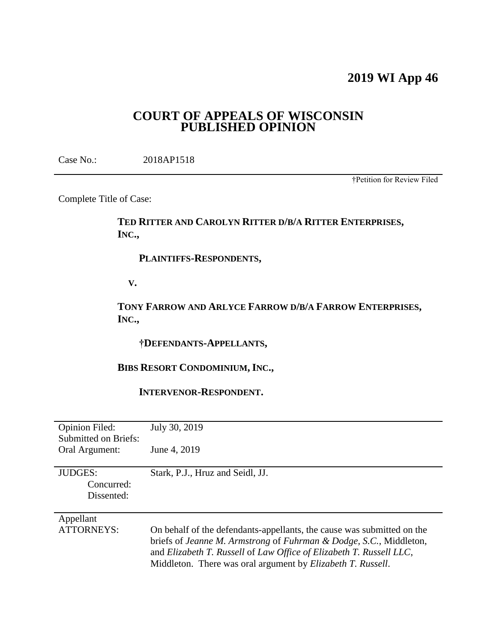# **2019 WI App 46**

## **COURT OF APPEALS OF WISCONSIN PUBLISHED OPINION**

Case No.: 2018AP1518

†Petition for Review Filed

Complete Title of Case:

## **TED RITTER AND CAROLYN RITTER D/B/A RITTER ENTERPRISES, INC.,**

 **PLAINTIFFS-RESPONDENTS,**

 **V.**

**TONY FARROW AND ARLYCE FARROW D/B/A FARROW ENTERPRISES, INC.,**

 **†DEFENDANTS-APPELLANTS,**

## **BIBS RESORT CONDOMINIUM, INC.,**

 **INTERVENOR-RESPONDENT.**

| <b>Opinion Filed:</b><br>Submitted on Briefs: | July 30, 2019                                                                                                                                                                                                                                                                              |
|-----------------------------------------------|--------------------------------------------------------------------------------------------------------------------------------------------------------------------------------------------------------------------------------------------------------------------------------------------|
| Oral Argument:                                | June 4, 2019                                                                                                                                                                                                                                                                               |
| <b>JUDGES:</b><br>Concurred:<br>Dissented:    | Stark, P.J., Hruz and Seidl, JJ.                                                                                                                                                                                                                                                           |
| Appellant<br><b>ATTORNEYS:</b>                | On behalf of the defendants-appellants, the cause was submitted on the<br>briefs of Jeanne M. Armstrong of Fuhrman & Dodge, S.C., Middleton,<br>and Elizabeth T. Russell of Law Office of Elizabeth T. Russell LLC,<br>Middleton. There was oral argument by <i>Elizabeth T. Russell</i> . |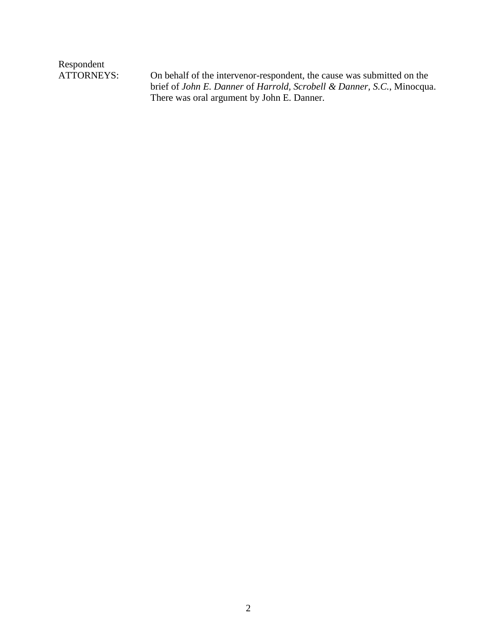Respondent<br>ATTORNEYS:

On behalf of the intervenor-respondent, the cause was submitted on the brief of *John E. Danner* of *Harrold, Scrobell & Danner, S.C.*, Minocqua. There was oral argument by John E. Danner.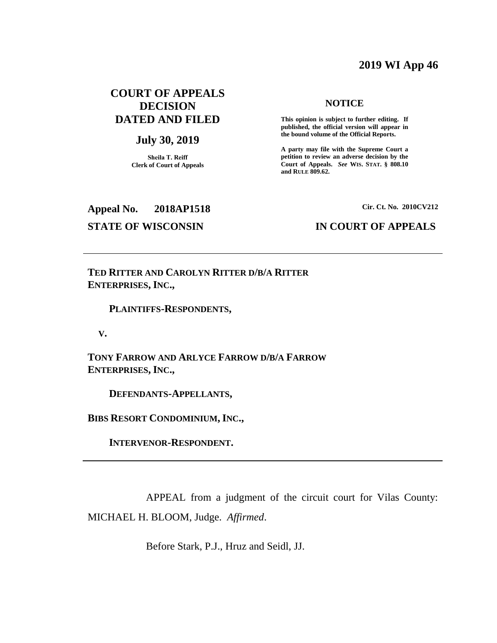## **2019 WI App 46**

## **COURT OF APPEALS DECISION DATED AND FILED**

### **July 30, 2019**

**Sheila T. Reiff Clerk of Court of Appeals**

#### **NOTICE**

**This opinion is subject to further editing. If published, the official version will appear in the bound volume of the Official Reports.** 

**A party may file with the Supreme Court a petition to review an adverse decision by the Court of Appeals.** *See* **WIS. STAT. § 808.10 and RULE 809.62.** 

## **Appeal No. 2018AP1518 Cir. Ct. No. 2010CV212**

## **STATE OF WISCONSIN IN COURT OF APPEALS**

**TED RITTER AND CAROLYN RITTER D/B/A RITTER ENTERPRISES, INC.,**

#### **PLAINTIFFS-RESPONDENTS,**

 **V.**

**TONY FARROW AND ARLYCE FARROW D/B/A FARROW ENTERPRISES, INC.,**

 **DEFENDANTS-APPELLANTS,**

**BIBS RESORT CONDOMINIUM, INC.,**

 **INTERVENOR-RESPONDENT.**

APPEAL from a judgment of the circuit court for Vilas County: MICHAEL H. BLOOM, Judge. *Affirmed*.

Before Stark, P.J., Hruz and Seidl, JJ.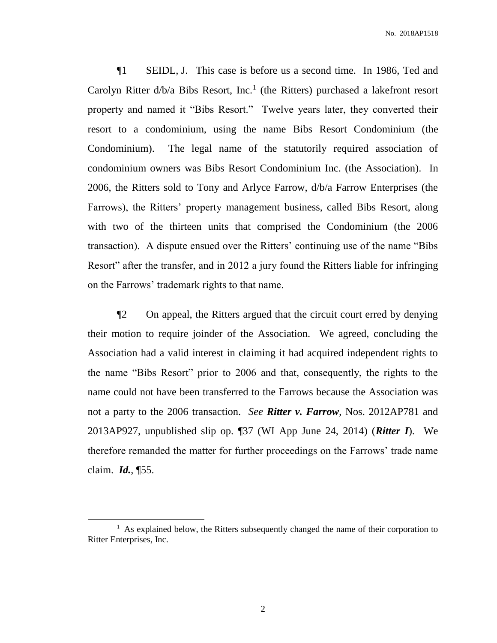¶1 SEIDL, J. This case is before us a second time. In 1986, Ted and Carolyn Ritter  $d/b/a$  Bibs Resort, Inc.<sup>1</sup> (the Ritters) purchased a lakefront resort property and named it "Bibs Resort." Twelve years later, they converted their resort to a condominium, using the name Bibs Resort Condominium (the Condominium). The legal name of the statutorily required association of condominium owners was Bibs Resort Condominium Inc. (the Association). In 2006, the Ritters sold to Tony and Arlyce Farrow, d/b/a Farrow Enterprises (the Farrows), the Ritters' property management business, called Bibs Resort, along with two of the thirteen units that comprised the Condominium (the 2006 transaction). A dispute ensued over the Ritters' continuing use of the name "Bibs Resort" after the transfer, and in 2012 a jury found the Ritters liable for infringing on the Farrows' trademark rights to that name.

¶2 On appeal, the Ritters argued that the circuit court erred by denying their motion to require joinder of the Association. We agreed, concluding the Association had a valid interest in claiming it had acquired independent rights to the name "Bibs Resort" prior to 2006 and that, consequently, the rights to the name could not have been transferred to the Farrows because the Association was not a party to the 2006 transaction. *See Ritter v. Farrow*, Nos. 2012AP781 and 2013AP927, unpublished slip op. ¶37 (WI App June 24, 2014) (*Ritter I*). We therefore remanded the matter for further proceedings on the Farrows' trade name claim. *Id.*, ¶55.

<sup>&</sup>lt;sup>1</sup> As explained below, the Ritters subsequently changed the name of their corporation to Ritter Enterprises, Inc.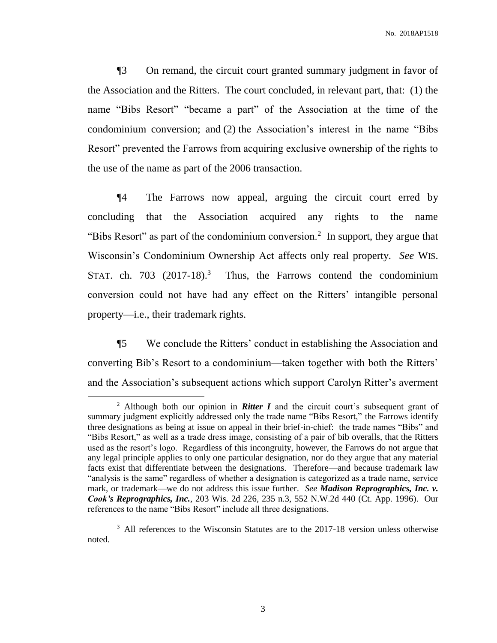¶3 On remand, the circuit court granted summary judgment in favor of the Association and the Ritters. The court concluded, in relevant part, that: (1) the name "Bibs Resort" "became a part" of the Association at the time of the condominium conversion; and (2) the Association's interest in the name "Bibs Resort" prevented the Farrows from acquiring exclusive ownership of the rights to the use of the name as part of the 2006 transaction.

¶4 The Farrows now appeal, arguing the circuit court erred by concluding that the Association acquired any rights to the name "Bibs Resort" as part of the condominium conversion.<sup>2</sup> In support, they argue that Wisconsin's Condominium Ownership Act affects only real property. *See* WIS. STAT. ch. 703 (2017-18).<sup>3</sup> Thus, the Farrows contend the condominium conversion could not have had any effect on the Ritters' intangible personal property—i.e., their trademark rights.

¶5 We conclude the Ritters' conduct in establishing the Association and converting Bib's Resort to a condominium—taken together with both the Ritters' and the Association's subsequent actions which support Carolyn Ritter's averment

<sup>&</sup>lt;sup>2</sup> Although both our opinion in **Ritter I** and the circuit court's subsequent grant of summary judgment explicitly addressed only the trade name "Bibs Resort," the Farrows identify three designations as being at issue on appeal in their brief-in-chief: the trade names "Bibs" and "Bibs Resort," as well as a trade dress image, consisting of a pair of bib overalls, that the Ritters used as the resort's logo. Regardless of this incongruity, however, the Farrows do not argue that any legal principle applies to only one particular designation, nor do they argue that any material facts exist that differentiate between the designations. Therefore—and because trademark law "analysis is the same" regardless of whether a designation is categorized as a trade name, service mark, or trademark—we do not address this issue further. *See Madison Reprographics, Inc. v. Cook's Reprographics, Inc.*, 203 Wis. 2d 226, 235 n.3, 552 N.W.2d 440 (Ct. App. 1996). Our references to the name "Bibs Resort" include all three designations.

<sup>&</sup>lt;sup>3</sup> All references to the Wisconsin Statutes are to the 2017-18 version unless otherwise noted.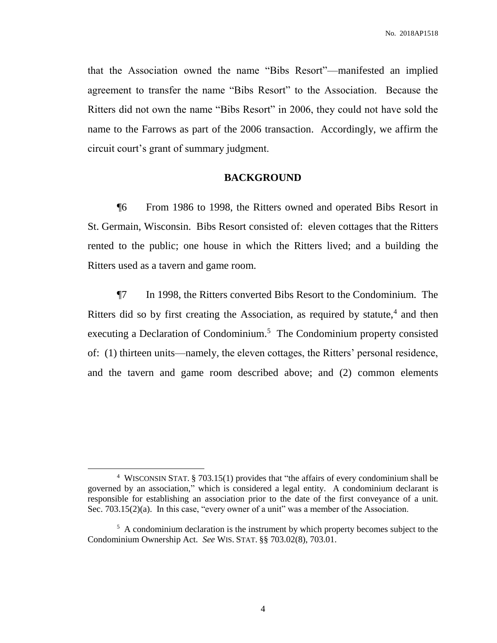that the Association owned the name "Bibs Resort"—manifested an implied agreement to transfer the name "Bibs Resort" to the Association. Because the Ritters did not own the name "Bibs Resort" in 2006, they could not have sold the name to the Farrows as part of the 2006 transaction. Accordingly, we affirm the circuit court's grant of summary judgment.

#### **BACKGROUND**

¶6 From 1986 to 1998, the Ritters owned and operated Bibs Resort in St. Germain, Wisconsin. Bibs Resort consisted of: eleven cottages that the Ritters rented to the public; one house in which the Ritters lived; and a building the Ritters used as a tavern and game room.

¶7 In 1998, the Ritters converted Bibs Resort to the Condominium. The Ritters did so by first creating the Association, as required by statute,<sup>4</sup> and then executing a Declaration of Condominium. <sup>5</sup> The Condominium property consisted of: (1) thirteen units—namely, the eleven cottages, the Ritters' personal residence, and the tavern and game room described above; and (2) common elements

<sup>4</sup> WISCONSIN STAT. § 703.15(1) provides that "the affairs of every condominium shall be governed by an association," which is considered a legal entity. A condominium declarant is responsible for establishing an association prior to the date of the first conveyance of a unit. Sec. 703.15(2)(a). In this case, "every owner of a unit" was a member of the Association.

<sup>&</sup>lt;sup>5</sup> A condominium declaration is the instrument by which property becomes subject to the Condominium Ownership Act. *See* WIS. STAT. §§ 703.02(8), 703.01.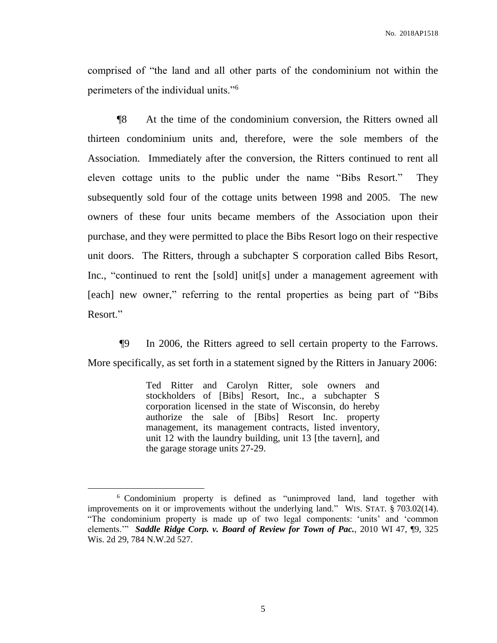comprised of "the land and all other parts of the condominium not within the perimeters of the individual units."<sup>6</sup>

¶8 At the time of the condominium conversion, the Ritters owned all thirteen condominium units and, therefore, were the sole members of the Association. Immediately after the conversion, the Ritters continued to rent all eleven cottage units to the public under the name "Bibs Resort." They subsequently sold four of the cottage units between 1998 and 2005. The new owners of these four units became members of the Association upon their purchase, and they were permitted to place the Bibs Resort logo on their respective unit doors. The Ritters, through a subchapter S corporation called Bibs Resort, Inc., "continued to rent the [sold] unit[s] under a management agreement with [each] new owner," referring to the rental properties as being part of "Bibs Resort."

¶9 In 2006, the Ritters agreed to sell certain property to the Farrows. More specifically, as set forth in a statement signed by the Ritters in January 2006:

> Ted Ritter and Carolyn Ritter, sole owners and stockholders of [Bibs] Resort, Inc., a subchapter S corporation licensed in the state of Wisconsin, do hereby authorize the sale of [Bibs] Resort Inc. property management, its management contracts, listed inventory, unit 12 with the laundry building, unit 13 [the tavern], and the garage storage units 27-29.

 $\overline{a}$ 

<sup>&</sup>lt;sup>6</sup> Condominium property is defined as "unimproved land, land together with improvements on it or improvements without the underlying land." WIS. STAT. § 703.02(14). "The condominium property is made up of two legal components: 'units' and 'common elements.'" *Saddle Ridge Corp. v. Board of Review for Town of Pac.*, 2010 WI 47, ¶9, 325 Wis. 2d 29, 784 N.W.2d 527.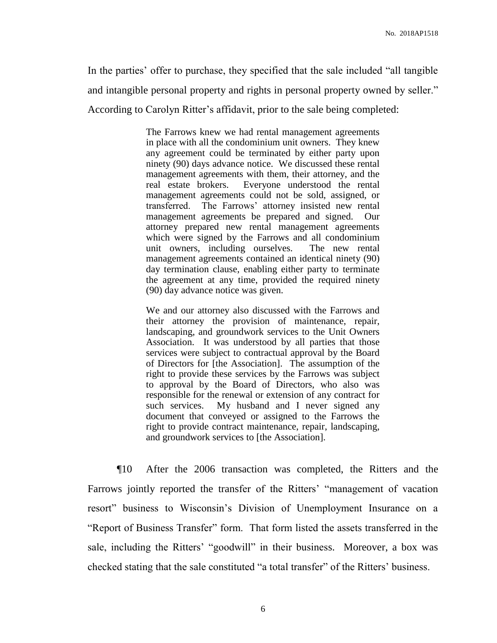In the parties' offer to purchase, they specified that the sale included "all tangible and intangible personal property and rights in personal property owned by seller." According to Carolyn Ritter's affidavit, prior to the sale being completed:

> The Farrows knew we had rental management agreements in place with all the condominium unit owners. They knew any agreement could be terminated by either party upon ninety (90) days advance notice. We discussed these rental management agreements with them, their attorney, and the real estate brokers. Everyone understood the rental management agreements could not be sold, assigned, or transferred. The Farrows' attorney insisted new rental management agreements be prepared and signed. Our attorney prepared new rental management agreements which were signed by the Farrows and all condominium unit owners, including ourselves. The new rental management agreements contained an identical ninety (90) day termination clause, enabling either party to terminate the agreement at any time, provided the required ninety (90) day advance notice was given.

We and our attorney also discussed with the Farrows and their attorney the provision of maintenance, repair, landscaping, and groundwork services to the Unit Owners Association. It was understood by all parties that those services were subject to contractual approval by the Board of Directors for [the Association]. The assumption of the right to provide these services by the Farrows was subject to approval by the Board of Directors, who also was responsible for the renewal or extension of any contract for such services. My husband and I never signed any document that conveyed or assigned to the Farrows the right to provide contract maintenance, repair, landscaping, and groundwork services to [the Association].

¶10 After the 2006 transaction was completed, the Ritters and the Farrows jointly reported the transfer of the Ritters' "management of vacation resort" business to Wisconsin's Division of Unemployment Insurance on a "Report of Business Transfer" form. That form listed the assets transferred in the sale, including the Ritters' "goodwill" in their business. Moreover, a box was checked stating that the sale constituted "a total transfer" of the Ritters' business.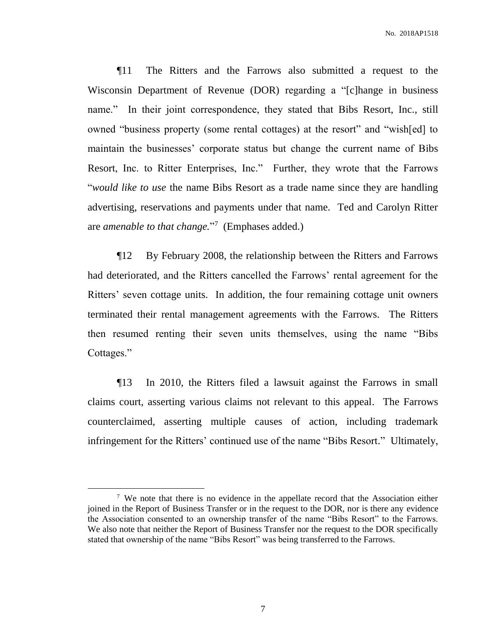¶11 The Ritters and the Farrows also submitted a request to the Wisconsin Department of Revenue (DOR) regarding a "[c]hange in business name." In their joint correspondence, they stated that Bibs Resort, Inc., still owned "business property (some rental cottages) at the resort" and "wish[ed] to maintain the businesses' corporate status but change the current name of Bibs Resort, Inc. to Ritter Enterprises, Inc." Further, they wrote that the Farrows "*would like to use* the name Bibs Resort as a trade name since they are handling advertising, reservations and payments under that name. Ted and Carolyn Ritter are *amenable to that change.*" 7 (Emphases added.)

¶12 By February 2008, the relationship between the Ritters and Farrows had deteriorated, and the Ritters cancelled the Farrows' rental agreement for the Ritters' seven cottage units. In addition, the four remaining cottage unit owners terminated their rental management agreements with the Farrows. The Ritters then resumed renting their seven units themselves, using the name "Bibs Cottages."

¶13 In 2010, the Ritters filed a lawsuit against the Farrows in small claims court, asserting various claims not relevant to this appeal. The Farrows counterclaimed, asserting multiple causes of action, including trademark infringement for the Ritters' continued use of the name "Bibs Resort." Ultimately,

 $\overline{a}$ 

<sup>&</sup>lt;sup>7</sup> We note that there is no evidence in the appellate record that the Association either joined in the Report of Business Transfer or in the request to the DOR, nor is there any evidence the Association consented to an ownership transfer of the name "Bibs Resort" to the Farrows. We also note that neither the Report of Business Transfer nor the request to the DOR specifically stated that ownership of the name "Bibs Resort" was being transferred to the Farrows.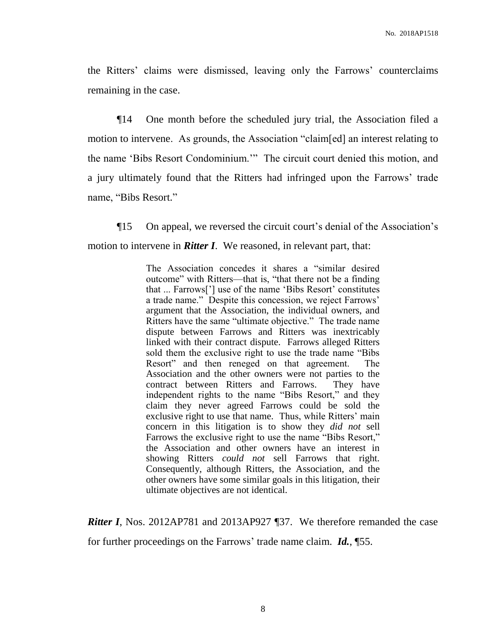the Ritters' claims were dismissed, leaving only the Farrows' counterclaims remaining in the case.

¶14 One month before the scheduled jury trial, the Association filed a motion to intervene. As grounds, the Association "claim[ed] an interest relating to the name 'Bibs Resort Condominium.'" The circuit court denied this motion, and a jury ultimately found that the Ritters had infringed upon the Farrows' trade name, "Bibs Resort."

¶15 On appeal, we reversed the circuit court's denial of the Association's motion to intervene in *Ritter I*. We reasoned, in relevant part, that:

> The Association concedes it shares a "similar desired outcome" with Ritters—that is, "that there not be a finding that ... Farrows['] use of the name 'Bibs Resort' constitutes a trade name." Despite this concession, we reject Farrows' argument that the Association, the individual owners, and Ritters have the same "ultimate objective." The trade name dispute between Farrows and Ritters was inextricably linked with their contract dispute. Farrows alleged Ritters sold them the exclusive right to use the trade name "Bibs Resort" and then reneged on that agreement. The Association and the other owners were not parties to the contract between Ritters and Farrows. They have independent rights to the name "Bibs Resort," and they claim they never agreed Farrows could be sold the exclusive right to use that name. Thus, while Ritters' main concern in this litigation is to show they *did not* sell Farrows the exclusive right to use the name "Bibs Resort," the Association and other owners have an interest in showing Ritters *could not* sell Farrows that right. Consequently, although Ritters, the Association, and the other owners have some similar goals in this litigation, their ultimate objectives are not identical.

*Ritter I*, Nos. 2012AP781 and 2013AP927 [37. We therefore remanded the case

for further proceedings on the Farrows' trade name claim. *Id.*, ¶55.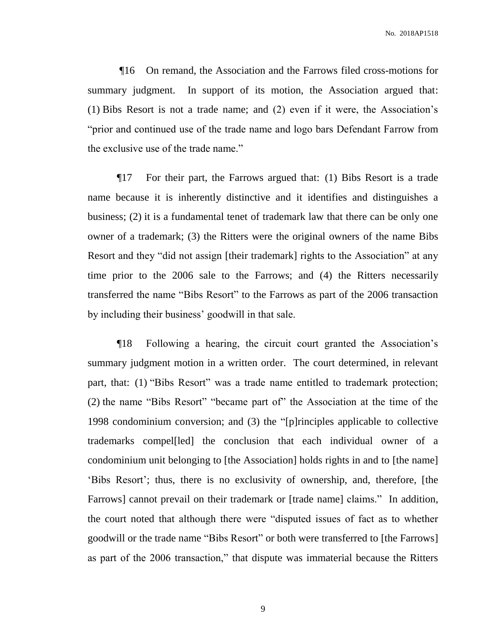¶16 On remand, the Association and the Farrows filed cross-motions for summary judgment. In support of its motion, the Association argued that: (1) Bibs Resort is not a trade name; and (2) even if it were, the Association's "prior and continued use of the trade name and logo bars Defendant Farrow from the exclusive use of the trade name."

¶17 For their part, the Farrows argued that: (1) Bibs Resort is a trade name because it is inherently distinctive and it identifies and distinguishes a business; (2) it is a fundamental tenet of trademark law that there can be only one owner of a trademark; (3) the Ritters were the original owners of the name Bibs Resort and they "did not assign [their trademark] rights to the Association" at any time prior to the 2006 sale to the Farrows; and (4) the Ritters necessarily transferred the name "Bibs Resort" to the Farrows as part of the 2006 transaction by including their business' goodwill in that sale.

¶18 Following a hearing, the circuit court granted the Association's summary judgment motion in a written order. The court determined, in relevant part, that: (1) "Bibs Resort" was a trade name entitled to trademark protection; (2) the name "Bibs Resort" "became part of" the Association at the time of the 1998 condominium conversion; and (3) the "[p]rinciples applicable to collective trademarks compel[led] the conclusion that each individual owner of a condominium unit belonging to [the Association] holds rights in and to [the name] 'Bibs Resort'; thus, there is no exclusivity of ownership, and, therefore, [the Farrows] cannot prevail on their trademark or [trade name] claims." In addition, the court noted that although there were "disputed issues of fact as to whether goodwill or the trade name "Bibs Resort" or both were transferred to [the Farrows] as part of the 2006 transaction," that dispute was immaterial because the Ritters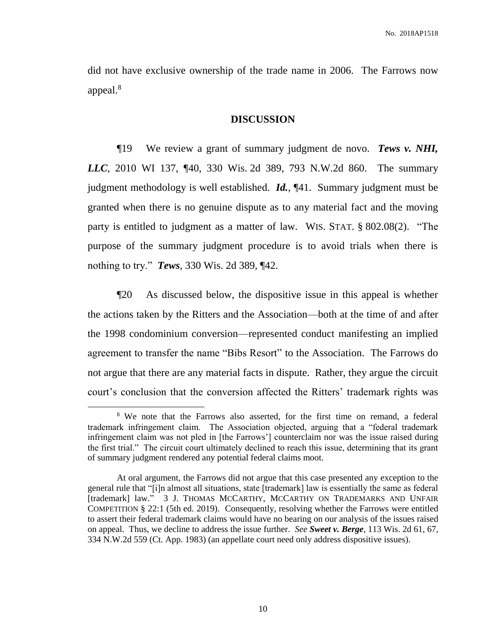did not have exclusive ownership of the trade name in 2006. The Farrows now appeal.<sup>8</sup>

#### **DISCUSSION**

¶19 We review a grant of summary judgment de novo. *Tews v. NHI, LLC*, 2010 WI 137, ¶40, 330 Wis. 2d 389, 793 N.W.2d 860. The summary judgment methodology is well established. *Id.*, ¶41. Summary judgment must be granted when there is no genuine dispute as to any material fact and the moving party is entitled to judgment as a matter of law. WIS. STAT. § 802.08(2). "The purpose of the summary judgment procedure is to avoid trials when there is nothing to try." *Tews*, 330 Wis. 2d 389, ¶42.

¶20 As discussed below, the dispositive issue in this appeal is whether the actions taken by the Ritters and the Association—both at the time of and after the 1998 condominium conversion—represented conduct manifesting an implied agreement to transfer the name "Bibs Resort" to the Association. The Farrows do not argue that there are any material facts in dispute. Rather, they argue the circuit court's conclusion that the conversion affected the Ritters' trademark rights was

<sup>&</sup>lt;sup>8</sup> We note that the Farrows also asserted, for the first time on remand, a federal trademark infringement claim. The Association objected, arguing that a "federal trademark infringement claim was not pled in [the Farrows'] counterclaim nor was the issue raised during the first trial." The circuit court ultimately declined to reach this issue, determining that its grant of summary judgment rendered any potential federal claims moot.

At oral argument, the Farrows did not argue that this case presented any exception to the general rule that "[i]n almost all situations, state [trademark] law is essentially the same as federal [trademark] law." 3 J. THOMAS MCCARTHY, MCCARTHY ON TRADEMARKS AND UNFAIR COMPETITION § 22:1 (5th ed. 2019). Consequently, resolving whether the Farrows were entitled to assert their federal trademark claims would have no bearing on our analysis of the issues raised on appeal. Thus, we decline to address the issue further. *See Sweet v. Berge*, 113 Wis. 2d 61, 67, 334 N.W.2d 559 (Ct. App. 1983) (an appellate court need only address dispositive issues).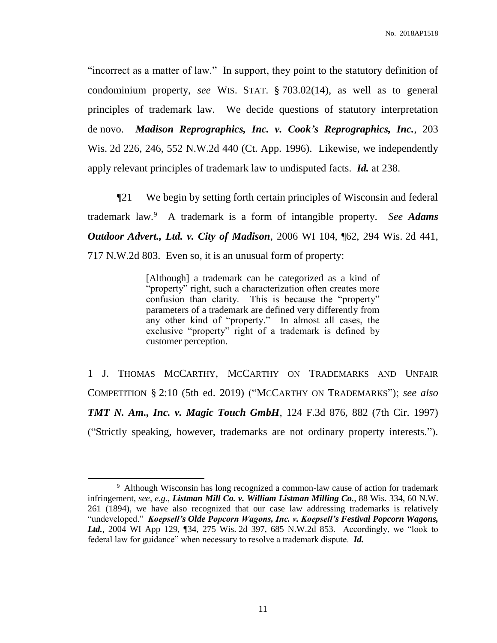"incorrect as a matter of law." In support, they point to the statutory definition of condominium property, *see* WIS. STAT. § 703.02(14), as well as to general principles of trademark law. We decide questions of statutory interpretation de novo. *Madison Reprographics, Inc. v. Cook's Reprographics, Inc.*, 203 Wis. 2d 226, 246, 552 N.W.2d 440 (Ct. App. 1996). Likewise, we independently apply relevant principles of trademark law to undisputed facts. *Id.* at 238.

¶21 We begin by setting forth certain principles of Wisconsin and federal trademark law.<sup>9</sup> A trademark is a form of intangible property. *See Adams Outdoor Advert., Ltd. v. City of Madison*, 2006 WI 104, ¶62, 294 Wis. 2d 441, 717 N.W.2d 803. Even so, it is an unusual form of property:

> [Although] a trademark can be categorized as a kind of "property" right, such a characterization often creates more confusion than clarity. This is because the "property" parameters of a trademark are defined very differently from any other kind of "property." In almost all cases, the exclusive "property" right of a trademark is defined by customer perception.

1 J. THOMAS MCCARTHY, MCCARTHY ON TRADEMARKS AND UNFAIR COMPETITION § 2:10 (5th ed. 2019) ("MCCARTHY ON TRADEMARKS"); *see also TMT N. Am., Inc. v. Magic Touch GmbH,* 124 F.3d 876, 882 (7th Cir. 1997) ("Strictly speaking, however, trademarks are not ordinary property interests.").

<sup>&</sup>lt;sup>9</sup> Although Wisconsin has long recognized a common-law cause of action for trademark infringement, *see, e.g.*, *Listman Mill Co. v. William Listman Milling Co.*, 88 Wis. 334, 60 N.W. 261 (1894), we have also recognized that our case law addressing trademarks is relatively "undeveloped." *Koepsell's Olde Popcorn Wagons, Inc. v. Koepsell's Festival Popcorn Wagons, Ltd.*, 2004 WI App 129, ¶34, 275 Wis. 2d 397, 685 N.W.2d 853. Accordingly, we "look to federal law for guidance" when necessary to resolve a trademark dispute. *Id.*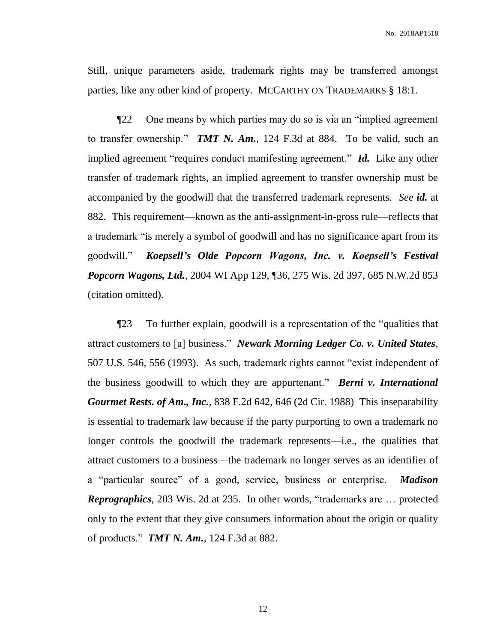Still, unique parameters aside, trademark rights may be transferred amongst parties, like any other kind of property. MCCARTHY ON TRADEMARKS § 18:1.

¶22 One means by which parties may do so is via an "implied agreement to transfer ownership." *TMT N. Am.*, 124 F.3d at 884. To be valid, such an implied agreement "requires conduct manifesting agreement." *Id.* Like any other transfer of trademark rights, an implied agreement to transfer ownership must be accompanied by the goodwill that the transferred trademark represents. *See id.* at 882. This requirement—known as the anti-assignment-in-gross rule—reflects that a trademark "is merely a symbol of goodwill and has no significance apart from its goodwill." *Koepsell's Olde Popcorn Wagons, Inc. v. Koepsell's Festival Popcorn Wagons, Ltd.*, 2004 WI App 129, ¶36, 275 Wis. 2d 397, 685 N.W.2d 853 (citation omitted).

¶23 To further explain, goodwill is a representation of the "qualities that attract customers to [a] business." *Newark Morning Ledger Co. v. United States*, 507 U.S. 546, 556 (1993). As such, trademark rights cannot "exist independent of the business goodwill to which they are appurtenant." *Berni v. International Gourmet Rests. of Am., Inc.*, 838 F.2d 642, 646 (2d Cir. 1988) This inseparability is essential to trademark law because if the party purporting to own a trademark no longer controls the goodwill the trademark represents—i.e., the qualities that attract customers to a business—the trademark no longer serves as an identifier of a "particular source" of a good, service, business or enterprise. *Madison Reprographics*, 203 Wis. 2d at 235. In other words, "trademarks are … protected only to the extent that they give consumers information about the origin or quality of products." *TMT N. Am.*, 124 F.3d at 882.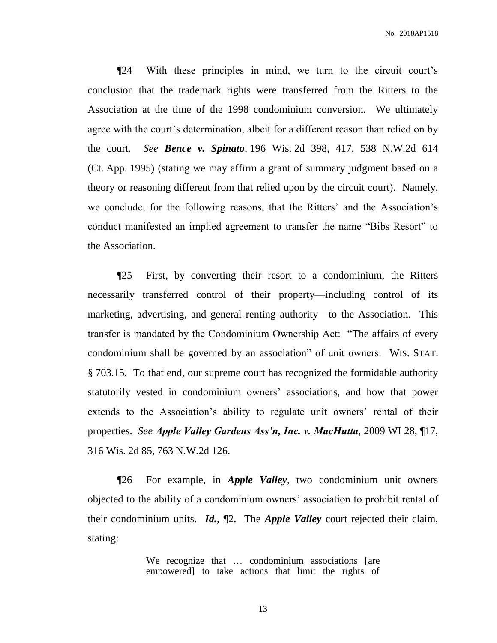No. 2018AP1518

¶24 With these principles in mind, we turn to the circuit court's conclusion that the trademark rights were transferred from the Ritters to the Association at the time of the 1998 condominium conversion. We ultimately agree with the court's determination, albeit for a different reason than relied on by the court. *See Bence v. Spinato*, 196 Wis. 2d 398, 417, 538 N.W.2d 614 (Ct. App. 1995) (stating we may affirm a grant of summary judgment based on a theory or reasoning different from that relied upon by the circuit court). Namely, we conclude, for the following reasons, that the Ritters' and the Association's conduct manifested an implied agreement to transfer the name "Bibs Resort" to the Association.

¶25 First, by converting their resort to a condominium, the Ritters necessarily transferred control of their property—including control of its marketing, advertising, and general renting authority—to the Association. This transfer is mandated by the Condominium Ownership Act: "The affairs of every condominium shall be governed by an association" of unit owners. WIS. STAT. § 703.15. To that end, our supreme court has recognized the formidable authority statutorily vested in condominium owners' associations, and how that power extends to the Association's ability to regulate unit owners' rental of their properties. *See Apple Valley Gardens Ass'n, Inc. v. MacHutta*, 2009 WI 28, ¶17, 316 Wis. 2d 85, 763 N.W.2d 126.

¶26 For example, in *Apple Valley*, two condominium unit owners objected to the ability of a condominium owners' association to prohibit rental of their condominium units. *Id.*, ¶2. The *Apple Valley* court rejected their claim, stating:

> We recognize that ... condominium associations [are empowered] to take actions that limit the rights of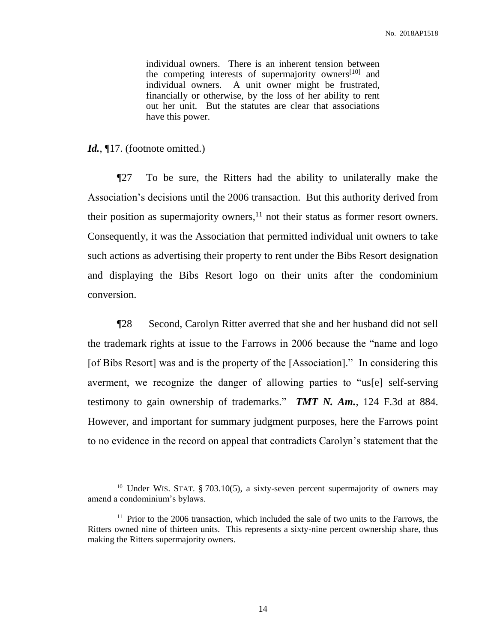individual owners. There is an inherent tension between the competing interests of supermajority owners<sup>[10]</sup> and individual owners. A unit owner might be frustrated, financially or otherwise, by the loss of her ability to rent out her unit. But the statutes are clear that associations have this power.

### Id.,  $\P$ 17. (footnote omitted.)

 $\overline{a}$ 

¶27 To be sure, the Ritters had the ability to unilaterally make the Association's decisions until the 2006 transaction. But this authority derived from their position as supermajority owners, $<sup>11</sup>$  not their status as former resort owners.</sup> Consequently, it was the Association that permitted individual unit owners to take such actions as advertising their property to rent under the Bibs Resort designation and displaying the Bibs Resort logo on their units after the condominium conversion.

¶28 Second, Carolyn Ritter averred that she and her husband did not sell the trademark rights at issue to the Farrows in 2006 because the "name and logo [of Bibs Resort] was and is the property of the [Association]." In considering this averment, we recognize the danger of allowing parties to "us[e] self-serving testimony to gain ownership of trademarks." *TMT N. Am.*, 124 F.3d at 884. However, and important for summary judgment purposes, here the Farrows point to no evidence in the record on appeal that contradicts Carolyn's statement that the

<sup>&</sup>lt;sup>10</sup> Under WIS. STAT. § 703.10(5), a sixty-seven percent supermajority of owners may amend a condominium's bylaws.

<sup>&</sup>lt;sup>11</sup> Prior to the 2006 transaction, which included the sale of two units to the Farrows, the Ritters owned nine of thirteen units. This represents a sixty-nine percent ownership share, thus making the Ritters supermajority owners.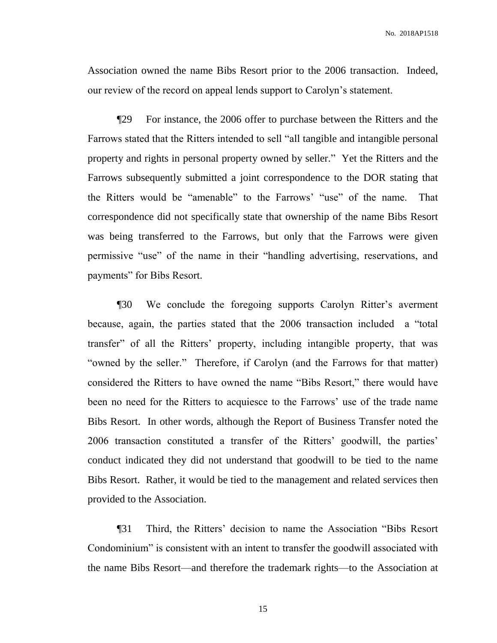Association owned the name Bibs Resort prior to the 2006 transaction. Indeed, our review of the record on appeal lends support to Carolyn's statement.

¶29 For instance, the 2006 offer to purchase between the Ritters and the Farrows stated that the Ritters intended to sell "all tangible and intangible personal property and rights in personal property owned by seller." Yet the Ritters and the Farrows subsequently submitted a joint correspondence to the DOR stating that the Ritters would be "amenable" to the Farrows' "use" of the name. That correspondence did not specifically state that ownership of the name Bibs Resort was being transferred to the Farrows, but only that the Farrows were given permissive "use" of the name in their "handling advertising, reservations, and payments" for Bibs Resort.

¶30 We conclude the foregoing supports Carolyn Ritter's averment because, again, the parties stated that the 2006 transaction included a "total transfer" of all the Ritters' property, including intangible property, that was "owned by the seller." Therefore, if Carolyn (and the Farrows for that matter) considered the Ritters to have owned the name "Bibs Resort," there would have been no need for the Ritters to acquiesce to the Farrows' use of the trade name Bibs Resort. In other words, although the Report of Business Transfer noted the 2006 transaction constituted a transfer of the Ritters' goodwill, the parties' conduct indicated they did not understand that goodwill to be tied to the name Bibs Resort. Rather, it would be tied to the management and related services then provided to the Association.

¶31 Third, the Ritters' decision to name the Association "Bibs Resort Condominium" is consistent with an intent to transfer the goodwill associated with the name Bibs Resort—and therefore the trademark rights—to the Association at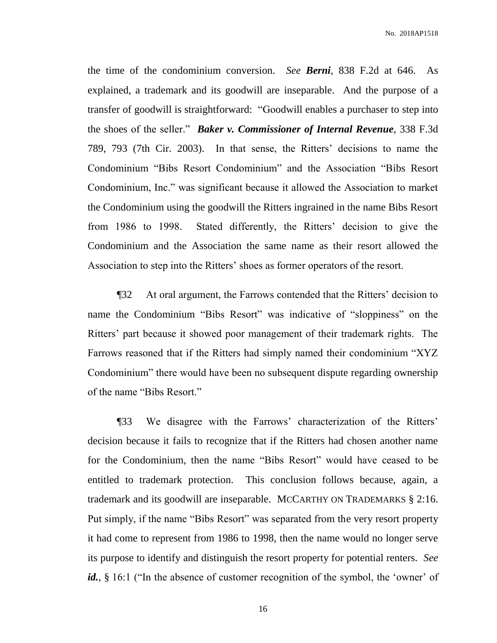No. 2018AP1518

the time of the condominium conversion. *See Berni*, 838 F.2d at 646. As explained, a trademark and its goodwill are inseparable. And the purpose of a transfer of goodwill is straightforward: "Goodwill enables a purchaser to step into the shoes of the seller." *Baker v. Commissioner of Internal Revenue*, 338 F.3d 789, 793 (7th Cir. 2003). In that sense, the Ritters' decisions to name the Condominium "Bibs Resort Condominium" and the Association "Bibs Resort Condominium, Inc." was significant because it allowed the Association to market the Condominium using the goodwill the Ritters ingrained in the name Bibs Resort from 1986 to 1998. Stated differently, the Ritters' decision to give the Condominium and the Association the same name as their resort allowed the Association to step into the Ritters' shoes as former operators of the resort.

¶32 At oral argument, the Farrows contended that the Ritters' decision to name the Condominium "Bibs Resort" was indicative of "sloppiness" on the Ritters' part because it showed poor management of their trademark rights. The Farrows reasoned that if the Ritters had simply named their condominium "XYZ Condominium" there would have been no subsequent dispute regarding ownership of the name "Bibs Resort."

¶33 We disagree with the Farrows' characterization of the Ritters' decision because it fails to recognize that if the Ritters had chosen another name for the Condominium, then the name "Bibs Resort" would have ceased to be entitled to trademark protection. This conclusion follows because, again, a trademark and its goodwill are inseparable. MCCARTHY ON TRADEMARKS § 2:16. Put simply, if the name "Bibs Resort" was separated from the very resort property it had come to represent from 1986 to 1998, then the name would no longer serve its purpose to identify and distinguish the resort property for potential renters. *See*  id., § 16:1 ("In the absence of customer recognition of the symbol, the 'owner' of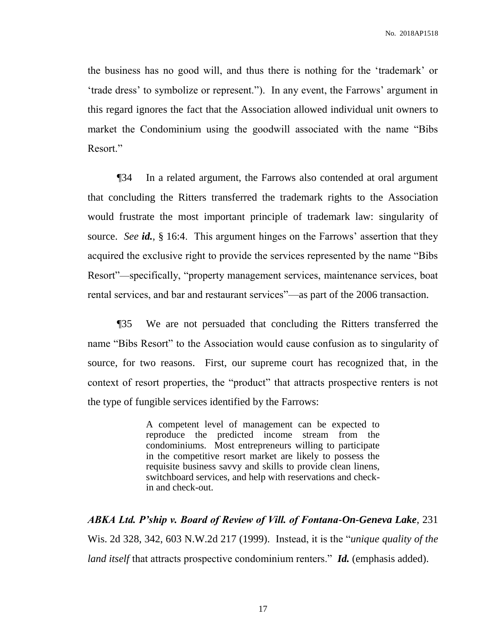the business has no good will, and thus there is nothing for the 'trademark' or 'trade dress' to symbolize or represent."). In any event, the Farrows' argument in this regard ignores the fact that the Association allowed individual unit owners to market the Condominium using the goodwill associated with the name "Bibs Resort."

¶34 In a related argument, the Farrows also contended at oral argument that concluding the Ritters transferred the trademark rights to the Association would frustrate the most important principle of trademark law: singularity of source. *See id.*, § 16:4. This argument hinges on the Farrows' assertion that they acquired the exclusive right to provide the services represented by the name "Bibs Resort"—specifically, "property management services, maintenance services, boat rental services, and bar and restaurant services"—as part of the 2006 transaction.

¶35 We are not persuaded that concluding the Ritters transferred the name "Bibs Resort" to the Association would cause confusion as to singularity of source, for two reasons. First, our supreme court has recognized that, in the context of resort properties, the "product" that attracts prospective renters is not the type of fungible services identified by the Farrows:

> A competent level of management can be expected to reproduce the predicted income stream from the condominiums. Most entrepreneurs willing to participate in the competitive resort market are likely to possess the requisite business savvy and skills to provide clean linens, switchboard services, and help with reservations and checkin and check-out.

*ABKA Ltd. P'ship v. Board of Review of Vill. of Fontana-On-Geneva Lake*, 231 Wis. 2d 328, 342, 603 N.W.2d 217 (1999). Instead, it is the "*unique quality of the land itself* that attracts prospective condominium renters." *Id.* (emphasis added).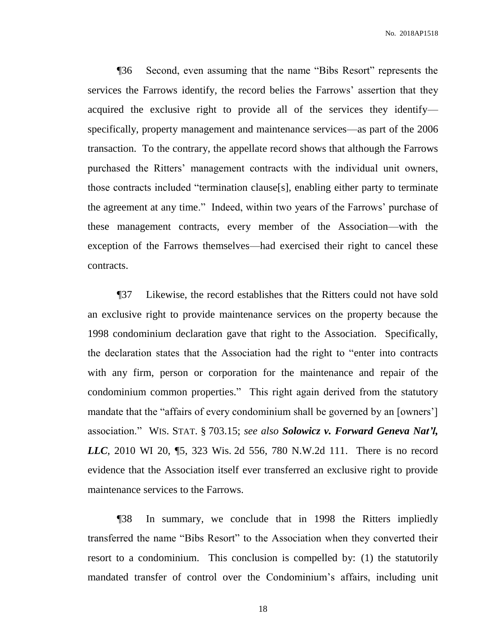¶36 Second, even assuming that the name "Bibs Resort" represents the services the Farrows identify, the record belies the Farrows' assertion that they acquired the exclusive right to provide all of the services they identify specifically, property management and maintenance services—as part of the 2006 transaction. To the contrary, the appellate record shows that although the Farrows purchased the Ritters' management contracts with the individual unit owners, those contracts included "termination clause[s], enabling either party to terminate the agreement at any time." Indeed, within two years of the Farrows' purchase of these management contracts, every member of the Association—with the exception of the Farrows themselves—had exercised their right to cancel these contracts.

¶37 Likewise, the record establishes that the Ritters could not have sold an exclusive right to provide maintenance services on the property because the 1998 condominium declaration gave that right to the Association. Specifically, the declaration states that the Association had the right to "enter into contracts with any firm, person or corporation for the maintenance and repair of the condominium common properties." This right again derived from the statutory mandate that the "affairs of every condominium shall be governed by an [owners'] association." WIS. STAT. § 703.15; *see also Solowicz v. Forward Geneva Nat'l, LLC*, 2010 WI 20, 15, 323 Wis. 2d 556, 780 N.W.2d 111. There is no record evidence that the Association itself ever transferred an exclusive right to provide maintenance services to the Farrows.

¶38 In summary, we conclude that in 1998 the Ritters impliedly transferred the name "Bibs Resort" to the Association when they converted their resort to a condominium. This conclusion is compelled by: (1) the statutorily mandated transfer of control over the Condominium's affairs, including unit